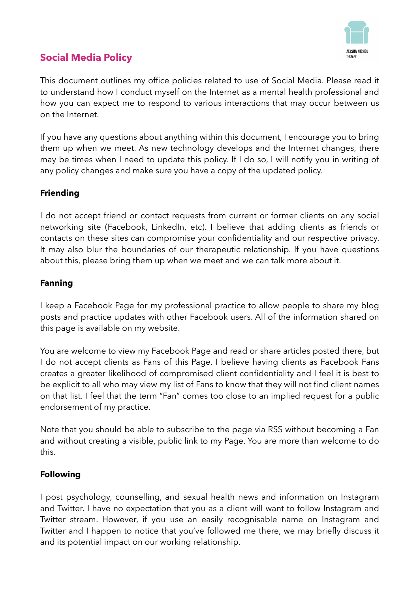

# **Social Media Policy**

This document outlines my office policies related to use of Social Media. Please read it to understand how I conduct myself on the Internet as a mental health professional and how you can expect me to respond to various interactions that may occur between us on the Internet.

If you have any questions about anything within this document, I encourage you to bring them up when we meet. As new technology develops and the Internet changes, there may be times when I need to update this policy. If I do so, I will notify you in writing of any policy changes and make sure you have a copy of the updated policy.

# **Friending**

I do not accept friend or contact requests from current or former clients on any social networking site (Facebook, LinkedIn, etc). I believe that adding clients as friends or contacts on these sites can compromise your confidentiality and our respective privacy. It may also blur the boundaries of our therapeutic relationship. If you have questions about this, please bring them up when we meet and we can talk more about it.

## **Fanning**

I keep a Facebook Page for my professional practice to allow people to share my blog posts and practice updates with other Facebook users. All of the information shared on this page is available on my website.

You are welcome to view my Facebook Page and read or share articles posted there, but I do not accept clients as Fans of this Page. I believe having clients as Facebook Fans creates a greater likelihood of compromised client confidentiality and I feel it is best to be explicit to all who may view my list of Fans to know that they will not find client names on that list. I feel that the term "Fan" comes too close to an implied request for a public endorsement of my practice.

Note that you should be able to subscribe to the page via RSS without becoming a Fan and without creating a visible, public link to my Page. You are more than welcome to do this.

#### **Following**

I post psychology, counselling, and sexual health news and information on Instagram and Twitter. I have no expectation that you as a client will want to follow Instagram and Twitter stream. However, if you use an easily recognisable name on Instagram and Twitter and I happen to notice that you've followed me there, we may briefly discuss it and its potential impact on our working relationship.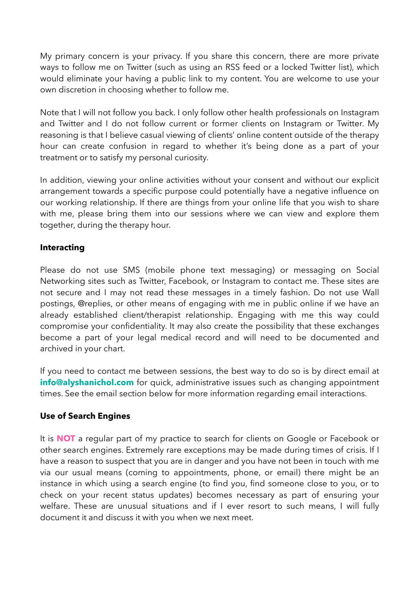My primary concern is your privacy. If you share this concern, there are more private ways to follow me on Twitter (such as using an RSS feed or a locked Twitter list), which would eliminate your having a public link to my content. You are welcome to use your own discretion in choosing whether to follow me.

Note that I will not follow you back. I only follow other health professionals on Instagram and Twitter and I do not follow current or former clients on Instagram or Twitter. My reasoning is that I believe casual viewing of clients' online content outside of the therapy hour can create confusion in regard to whether it's being done as a part of your treatment or to satisfy my personal curiosity.

In addition, viewing your online activities without your consent and without our explicit arrangement towards a specific purpose could potentially have a negative influence on our working relationship. If there are things from your online life that you wish to share with me, please bring them into our sessions where we can view and explore them together, during the therapy hour.

## **Interacting**

Please do not use SMS (mobile phone text messaging) or messaging on Social Networking sites such as Twitter, Facebook, or Instagram to contact me. These sites are not secure and I may not read these messages in a timely fashion. Do not use Wall postings, @replies, or other means of engaging with me in public online if we have an already established client/therapist relationship. Engaging with me this way could compromise your confidentiality. It may also create the possibility that these exchanges become a part of your legal medical record and will need to be documented and archived in your chart.

If you need to contact me between sessions, the best way to do so is by direct email at **info@alyshanichol.com** for quick, administrative issues such as changing appointment times. See the email section below for more information regarding email interactions.

#### **Use of Search Engines**

It is **NOT** a regular part of my practice to search for clients on Google or Facebook or other search engines. Extremely rare exceptions may be made during times of crisis. If I have a reason to suspect that you are in danger and you have not been in touch with me via our usual means (coming to appointments, phone, or email) there might be an instance in which using a search engine (to find you, find someone close to you, or to check on your recent status updates) becomes necessary as part of ensuring your welfare. These are unusual situations and if I ever resort to such means, I will fully document it and discuss it with you when we next meet.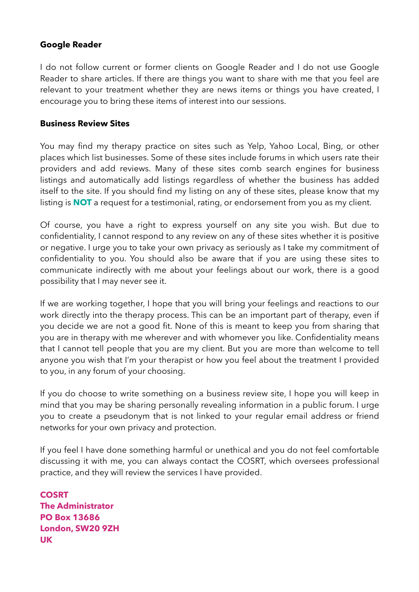#### **Google Reader**

I do not follow current or former clients on Google Reader and I do not use Google Reader to share articles. If there are things you want to share with me that you feel are relevant to your treatment whether they are news items or things you have created, I encourage you to bring these items of interest into our sessions.

#### **Business Review Sites**

You may find my therapy practice on sites such as Yelp, Yahoo Local, Bing, or other places which list businesses. Some of these sites include forums in which users rate their providers and add reviews. Many of these sites comb search engines for business listings and automatically add listings regardless of whether the business has added itself to the site. If you should find my listing on any of these sites, please know that my listing is **NOT** a request for a testimonial, rating, or endorsement from you as my client.

Of course, you have a right to express yourself on any site you wish. But due to confidentiality, I cannot respond to any review on any of these sites whether it is positive or negative. I urge you to take your own privacy as seriously as I take my commitment of confidentiality to you. You should also be aware that if you are using these sites to communicate indirectly with me about your feelings about our work, there is a good possibility that I may never see it.

If we are working together, I hope that you will bring your feelings and reactions to our work directly into the therapy process. This can be an important part of therapy, even if you decide we are not a good fit. None of this is meant to keep you from sharing that you are in therapy with me wherever and with whomever you like. Confidentiality means that I cannot tell people that you are my client. But you are more than welcome to tell anyone you wish that I'm your therapist or how you feel about the treatment I provided to you, in any forum of your choosing.

If you do choose to write something on a business review site, I hope you will keep in mind that you may be sharing personally revealing information in a public forum. I urge you to create a pseudonym that is not linked to your regular email address or friend networks for your own privacy and protection.

If you feel I have done something harmful or unethical and you do not feel comfortable discussing it with me, you can always contact the COSRT, which oversees professional practice, and they will review the services I have provided.

**COSRT The Administrator PO Box 13686 London, SW20 9ZH UK**